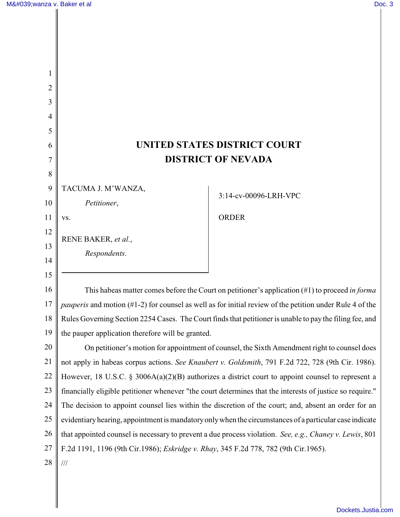| 2  |                                                                                                                    |                       |
|----|--------------------------------------------------------------------------------------------------------------------|-----------------------|
|    |                                                                                                                    |                       |
|    |                                                                                                                    |                       |
| 5  |                                                                                                                    |                       |
| 6  | <b>UNITED STATES DISTRICT COURT</b>                                                                                |                       |
|    | <b>DISTRICT OF NEVADA</b>                                                                                          |                       |
| 8  |                                                                                                                    |                       |
| 9  | TACUMA J. M'WANZA,                                                                                                 | 3:14-cv-00096-LRH-VPC |
| 10 | Petitioner,                                                                                                        |                       |
| 11 | VS.                                                                                                                | <b>ORDER</b>          |
| 12 | RENE BAKER, et al.,                                                                                                |                       |
| 13 | Respondents.                                                                                                       |                       |
| 14 |                                                                                                                    |                       |
| 15 |                                                                                                                    |                       |
| 16 | This habeas matter comes before the Court on petitioner's application $(\#1)$ to proceed in forma                  |                       |
| 17 | <i>pauperis</i> and motion $(\#1-2)$ for counsel as well as for initial review of the petition under Rule 4 of the |                       |
| 18 | Rules Governing Section 2254 Cases. The Court finds that petitioner is unable to pay the filing fee, and           |                       |
| 19 | the pauper application therefore will be granted.                                                                  |                       |
| 20 | On petitioner's motion for appointment of counsel, the Sixth Amendment right to counsel does                       |                       |
| 21 | not apply in habeas corpus actions. See Knaubert v. Goldsmith, 791 F.2d 722, 728 (9th Cir. 1986).                  |                       |
| 22 | However, 18 U.S.C. § 3006A(a)(2)(B) authorizes a district court to appoint counsel to represent a                  |                       |
| 23 | financially eligible petitioner whenever "the court determines that the interests of justice so require."          |                       |
| 24 | The decision to appoint counsel lies within the discretion of the court; and, absent an order for an               |                       |
| 25 | evidentiary hearing, appointment is mandatory only when the circumstances of a particular case indicate            |                       |
| 26 | that appointed counsel is necessary to prevent a due process violation. See, e.g., Chaney v. Lewis, 801            |                       |
|    | F.2d 1191, 1196 (9th Cir.1986); Eskridge v. Rhay, 345 F.2d 778, 782 (9th Cir.1965).                                |                       |

28  $\parallel$  ///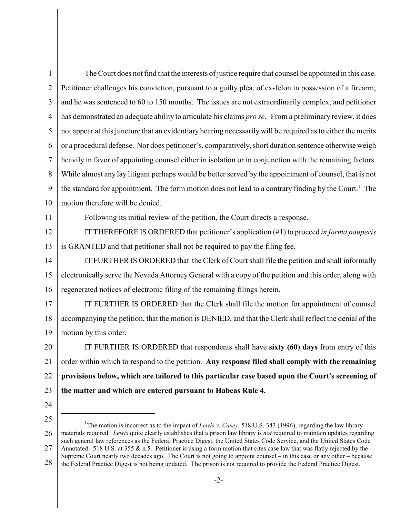1  $\mathcal{L}$ 3 4 5 6 7 8 9 10 The Court does not find that the interests of justice require that counsel be appointed in this case. Petitioner challenges his conviction, pursuant to a guilty plea, of ex-felon in possession of a firearm; and he was sentenced to 60 to 150 months. The issues are not extraordinarily complex, and petitioner has demonstrated an adequate ability to articulate his claims *pro se*. From a preliminary review, it does not appear at this juncture that an evidentiary hearing necessarily will be required as to either the merits or a procedural defense. Nor does petitioner's, comparatively, short duration sentence otherwise weigh heavily in favor of appointing counsel either in isolation or in conjunction with the remaining factors. While almost any lay litigant perhaps would be better served by the appointment of counsel, that is not the standard for appointment. The form motion does not lead to a contrary finding by the Court.<sup>1</sup> The motion therefore will be denied.

11

Following its initial review of the petition, the Court directs a response.

12 13 IT THEREFORE IS ORDERED that petitioner's application (#1) to proceed *in forma pauperis* is GRANTED and that petitioner shall not be required to pay the filing fee.

14 15 16 IT FURTHER IS ORDERED that the Clerk of Court shall file the petition and shall informally electronically serve the Nevada Attorney General with a copy of the petition and this order, along with regenerated notices of electronic filing of the remaining filings herein.

17 18 19 IT FURTHER IS ORDERED that the Clerk shall file the motion for appointment of counsel accompanying the petition, that the motion is DENIED, and that the Clerk shall reflect the denial of the motion by this order.

20 21 22 23 IT FURTHER IS ORDERED that respondents shall have **sixty (60) days** from entry of this order within which to respond to the petition. **Any response filed shall comply with the remaining provisions below, which are tailored to this particular case based upon the Court's screening of the matter and which are entered pursuant to Habeas Rule 4.**

24

<sup>25</sup> 26 27 28 The motion is incorrect as to the impact of *Lewis v. Casey*, 518 U.S. 343 (1996), regarding the law library materials required. *Lewis* quite clearly establishes that a prison law library is *not* required to maintain updates regarding such general law references as the Federal Practice Digest, the United States Code Service, and the United States Code Annotated. 518 U.S. at 355  $\&$  n.5. Petitioner is using a form motion that cites case law that was flatly rejected by the Supreme Court nearly two decades ago. The Court is not going to appoint counsel – in this case or any other – because the Federal Practice Digest is not being updated. The prison is not required to provide the Federal Practice Digest.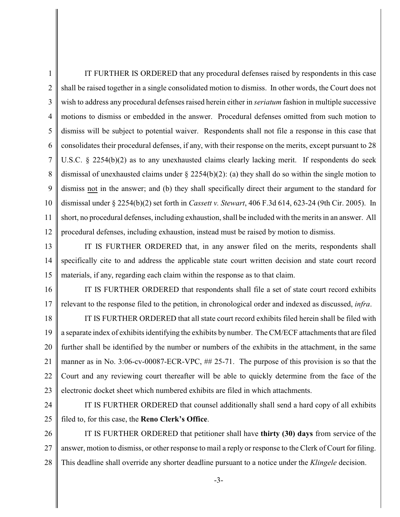1  $\mathcal{L}$ 3 4 5 6 7 8 9 10 11 12 IT FURTHER IS ORDERED that any procedural defenses raised by respondents in this case shall be raised together in a single consolidated motion to dismiss. In other words, the Court does not wish to address any procedural defenses raised herein either in *seriatum* fashion in multiple successive motions to dismiss or embedded in the answer. Procedural defenses omitted from such motion to dismiss will be subject to potential waiver. Respondents shall not file a response in this case that consolidates their procedural defenses, if any, with their response on the merits, except pursuant to 28 U.S.C.  $\S$  2254(b)(2) as to any unexhausted claims clearly lacking merit. If respondents do seek dismissal of unexhausted claims under § 2254(b)(2): (a) they shall do so within the single motion to dismiss not in the answer; and (b) they shall specifically direct their argument to the standard for dismissal under § 2254(b)(2) set forth in *Cassett v. Stewart*, 406 F.3d 614, 623-24 (9th Cir. 2005). In short, no procedural defenses, including exhaustion, shall be included with the merits in an answer. All procedural defenses, including exhaustion, instead must be raised by motion to dismiss.

13 14 15 IT IS FURTHER ORDERED that, in any answer filed on the merits, respondents shall specifically cite to and address the applicable state court written decision and state court record materials, if any, regarding each claim within the response as to that claim.

16 17 IT IS FURTHER ORDERED that respondents shall file a set of state court record exhibits relevant to the response filed to the petition, in chronological order and indexed as discussed, *infra*.

18 19 20 21 22 23 IT IS FURTHER ORDERED that all state court record exhibits filed herein shall be filed with a separate index of exhibits identifying the exhibits by number. The CM/ECF attachments that are filed further shall be identified by the number or numbers of the exhibits in the attachment, in the same manner as in No. 3:06-cv-00087-ECR-VPC, ## 25-71. The purpose of this provision is so that the Court and any reviewing court thereafter will be able to quickly determine from the face of the electronic docket sheet which numbered exhibits are filed in which attachments.

24 25 IT IS FURTHER ORDERED that counsel additionally shall send a hard copy of all exhibits filed to, for this case, the **Reno Clerk's Office**.

26 27 28 IT IS FURTHER ORDERED that petitioner shall have **thirty (30) days** from service of the answer, motion to dismiss, or other response to mail a reply or response to the Clerk of Court for filing. This deadline shall override any shorter deadline pursuant to a notice under the *Klingele* decision.

-3-